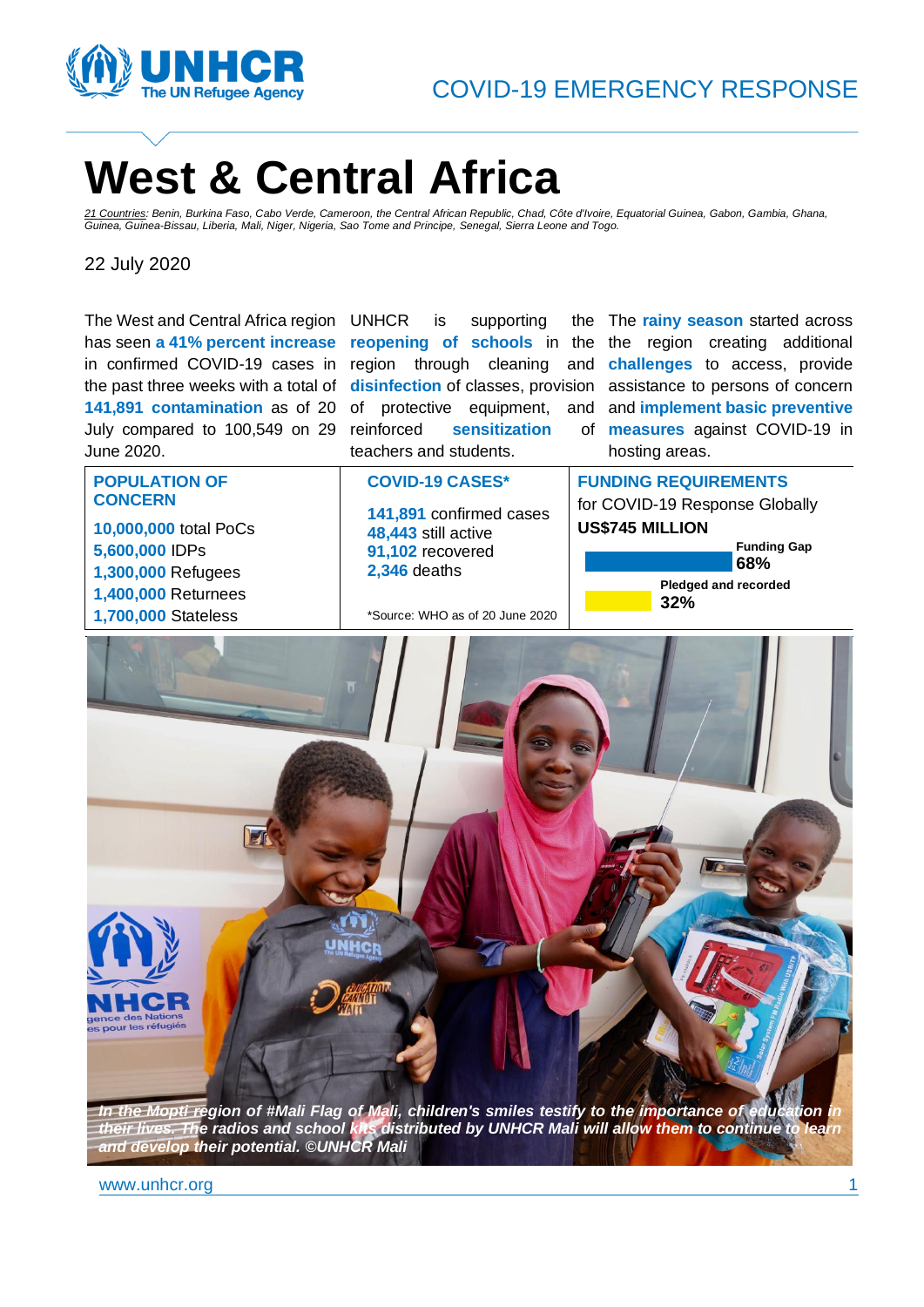

# **West & Central Africa**

*21 Countries: Benin, Burkina Faso, Cabo Verde, Cameroon, the Central African Republic, Chad, Côte d'Ivoire, Equatorial Guinea, Gabon, Gambia, Ghana, Guinea, Guinea-Bissau, Liberia, Mali, Niger, Nigeria, Sao Tome and Principe, Senegal, Sierra Leone and Togo.*

22 July 2020

The West and Central Africa region has seen **a 41% percent increase**  in confirmed COVID-19 cases in region through cleaning and challenges to access, provide the past three weeks with a total of **disinfection** of classes, provision **141,891 contamination** as of 20 of protective equipment, and and **implement basic preventive** July compared to 100,549 on 29 June 2020.

UNHCR is supporting **sensitization** teachers and students.

**reopening of schools** in the the region creating additional The **rainy season** started across assistance to persons of concern **measures** against COVID-19 in hosting areas.

**POPULATION OF CONCERN 10,000,000** total PoCs **5,600,000** IDPs **1,300,000** Refugees **1,400,000** Returnees

**1,700,000** Stateless

**COVID-19 CASES\***

**141,891** confirmed cases **48,443** still active **91,102** recovered **2,346** deaths

\*Source: WHO as of 20 June 2020

**FUNDING REQUIREMENTS** for COVID-19 Response Globally **US\$745 MILLION**

**Pledged and recorded 32% Funding Gap 68%**



*In the Mopti region of #Mali Flag of Mali, children's smiles testify to the importance of education in their lives. The radios and school kits distributed by UNHCR Mali will allow them to continue to learn and develop their potential. ©UNHCR Mali*

www.unhcr.org 1 and 1 and 1 and 1 and 1 and 1 and 1 and 1 and 1 and 1 and 1 and 1 and 1 and 1 and 1 and 1 and 1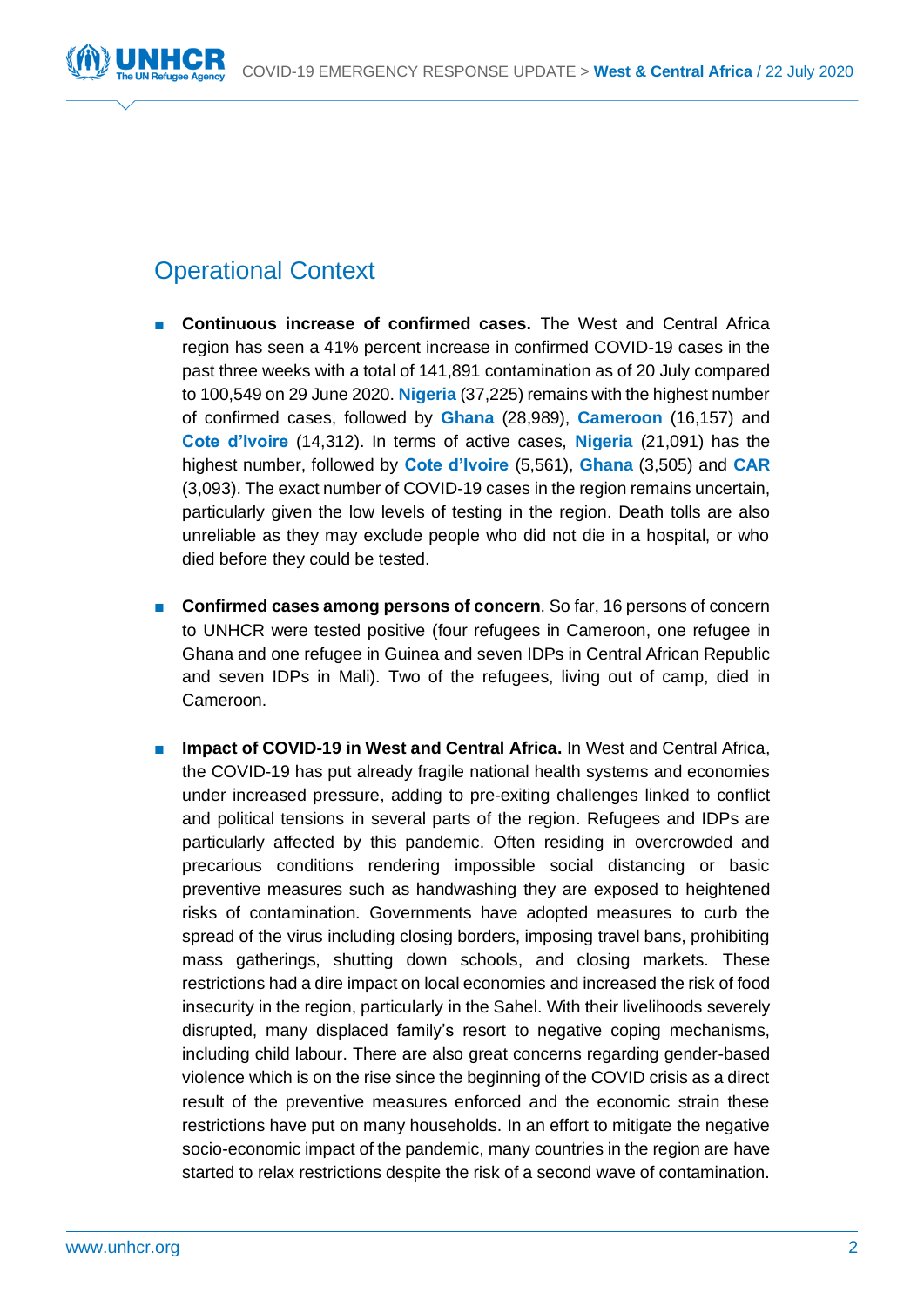

# Operational Context

- **Continuous increase of confirmed cases.** The West and Central Africa region has seen a 41% percent increase in confirmed COVID-19 cases in the past three weeks with a total of 141,891 contamination as of 20 July compared to 100,549 on 29 June 2020. **Nigeria** (37,225) remains with the highest number of confirmed cases, followed by **Ghana** (28,989), **Cameroon** (16,157) and **Cote d'Ivoire** (14,312). In terms of active cases, **Nigeria** (21,091) has the highest number, followed by **Cote d'Ivoire** (5,561), **Ghana** (3,505) and **CAR** (3,093). The exact number of COVID-19 cases in the region remains uncertain, particularly given the low levels of testing in the region. Death tolls are also unreliable as they may exclude people who did not die in a hospital, or who died before they could be tested.
- **Confirmed cases among persons of concern**. So far, 16 persons of concern to UNHCR were tested positive (four refugees in Cameroon, one refugee in Ghana and one refugee in Guinea and seven IDPs in Central African Republic and seven IDPs in Mali). Two of the refugees, living out of camp, died in Cameroon.
- **Impact of COVID-19 in West and Central Africa.** In West and Central Africa, the COVID-19 has put already fragile national health systems and economies under increased pressure, adding to pre-exiting challenges linked to conflict and political tensions in several parts of the region. Refugees and IDPs are particularly affected by this pandemic. Often residing in overcrowded and precarious conditions rendering impossible social distancing or basic preventive measures such as handwashing they are exposed to heightened risks of contamination. Governments have adopted measures to curb the spread of the virus including closing borders, imposing travel bans, prohibiting mass gatherings, shutting down schools, and closing markets. These restrictions had a dire impact on local economies and increased the risk of food insecurity in the region, particularly in the Sahel. With their livelihoods severely disrupted, many displaced family's resort to negative coping mechanisms, including child labour. There are also great concerns regarding gender-based violence which is on the rise since the beginning of the COVID crisis as a direct result of the preventive measures enforced and the economic strain these restrictions have put on many households. In an effort to mitigate the negative socio-economic impact of the pandemic, many countries in the region are have started to relax restrictions despite the risk of a second wave of contamination.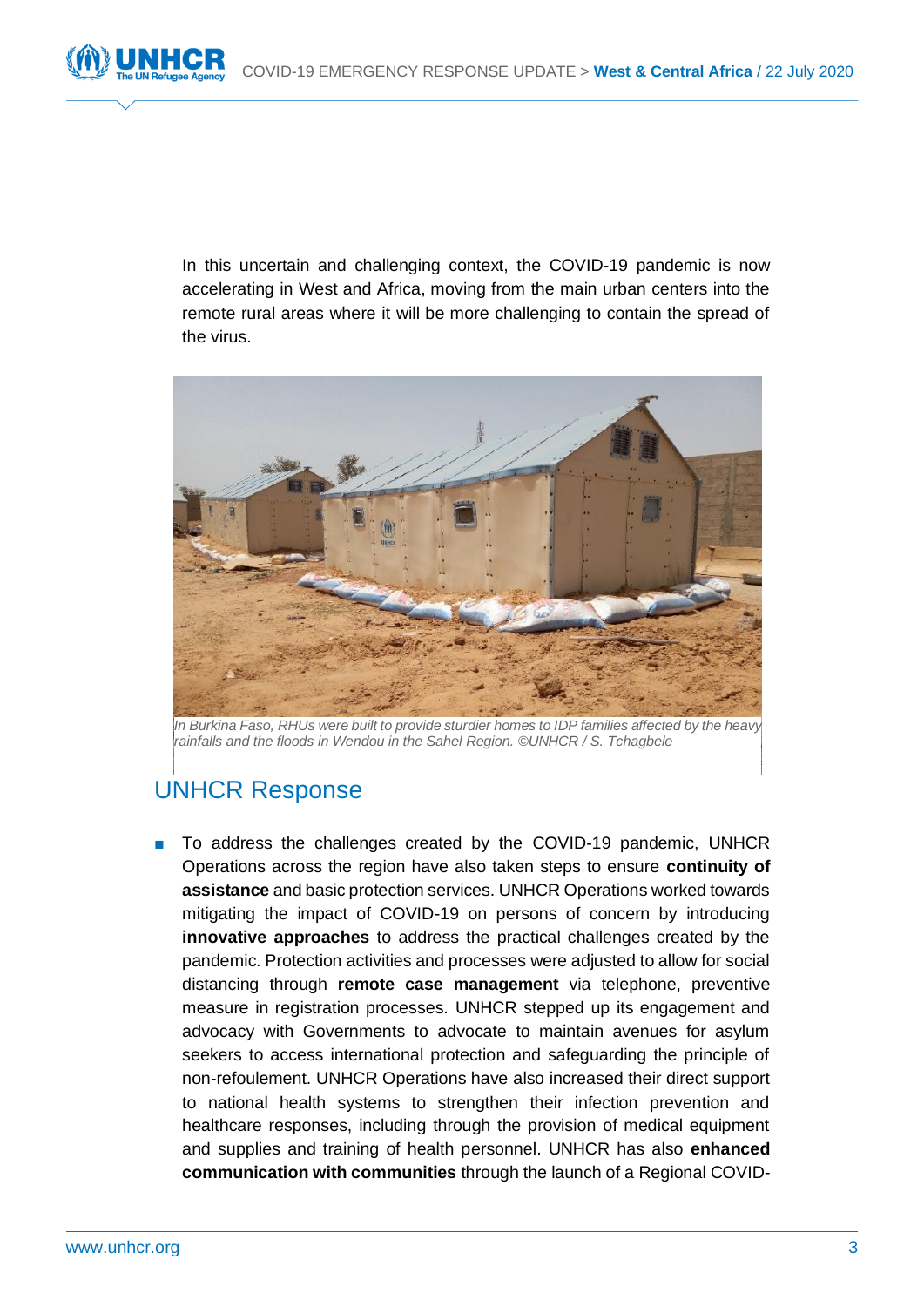

In this uncertain and challenging context, the COVID-19 pandemic is now accelerating in West and Africa, moving from the main urban centers into the remote rural areas where it will be more challenging to contain the spread of the virus.



*In Burkina Faso, RHUs were built to provide sturdier homes to IDP families affected by the heavy rainfalls and the floods in Wendou in the Sahel Region. ©UNHCR / S. Tchagbele*

# UNHCR Response

■ To address the challenges created by the COVID-19 pandemic, UNHCR Operations across the region have also taken steps to ensure **continuity of assistance** and basic protection services. UNHCR Operations worked towards mitigating the impact of COVID-19 on persons of concern by introducing **innovative approaches** to address the practical challenges created by the pandemic. Protection activities and processes were adjusted to allow for social distancing through **remote case management** via telephone, preventive measure in registration processes. UNHCR stepped up its engagement and advocacy with Governments to advocate to maintain avenues for asylum seekers to access international protection and safeguarding the principle of non-refoulement. UNHCR Operations have also increased their direct support to national health systems to strengthen their infection prevention and healthcare responses, including through the provision of medical equipment and supplies and training of health personnel. UNHCR has also **enhanced communication with communities** through the launch of a [Regional COVID-](https://coronawestafrica.info/)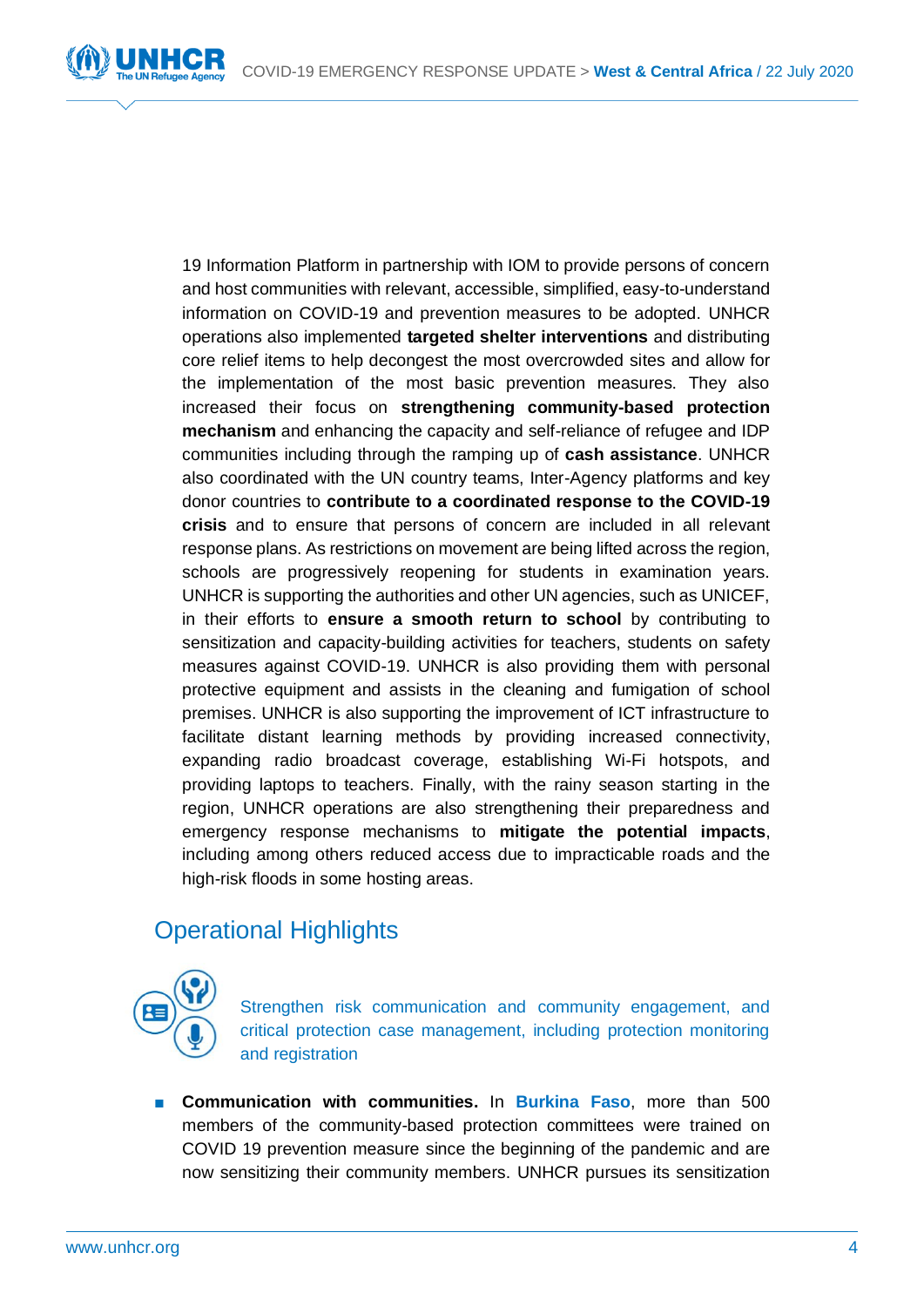[19 Information Platform](https://coronawestafrica.info/) in partnership with IOM to provide persons of concern and host communities with relevant, accessible, simplified, easy-to-understand information on COVID-19 and prevention measures to be adopted. UNHCR operations also implemented **targeted shelter interventions** and distributing core relief items to help decongest the most overcrowded sites and allow for the implementation of the most basic prevention measures. They also increased their focus on **strengthening community-based protection mechanism** and enhancing the capacity and self-reliance of refugee and IDP communities including through the ramping up of **cash assistance**. UNHCR also coordinated with the UN country teams, Inter-Agency platforms and key donor countries to **contribute to a coordinated response to the COVID-19 crisis** and to ensure that persons of concern are included in all relevant response plans. As restrictions on movement are being lifted across the region, schools are progressively reopening for students in examination years. UNHCR is supporting the authorities and other UN agencies, such as UNICEF, in their efforts to **ensure a smooth return to school** by contributing to sensitization and capacity-building activities for teachers, students on safety measures against COVID-19. UNHCR is also providing them with personal protective equipment and assists in the cleaning and fumigation of school premises. UNHCR is also supporting the improvement of ICT infrastructure to facilitate distant learning methods by providing increased connectivity, expanding radio broadcast coverage, establishing Wi-Fi hotspots, and providing laptops to teachers. Finally, with the rainy season starting in the region, UNHCR operations are also strengthening their preparedness and emergency response mechanisms to **mitigate the potential impacts**, including among others reduced access due to impracticable roads and the high-risk floods in some hosting areas.

# Operational Highlights



Strengthen risk communication and community engagement, and critical protection case management, including protection monitoring and registration

■ **Communication with communities.** In **Burkina Faso**, more than 500 members of the community-based protection committees were trained on COVID 19 prevention measure since the beginning of the pandemic and are now sensitizing their community members. UNHCR pursues its sensitization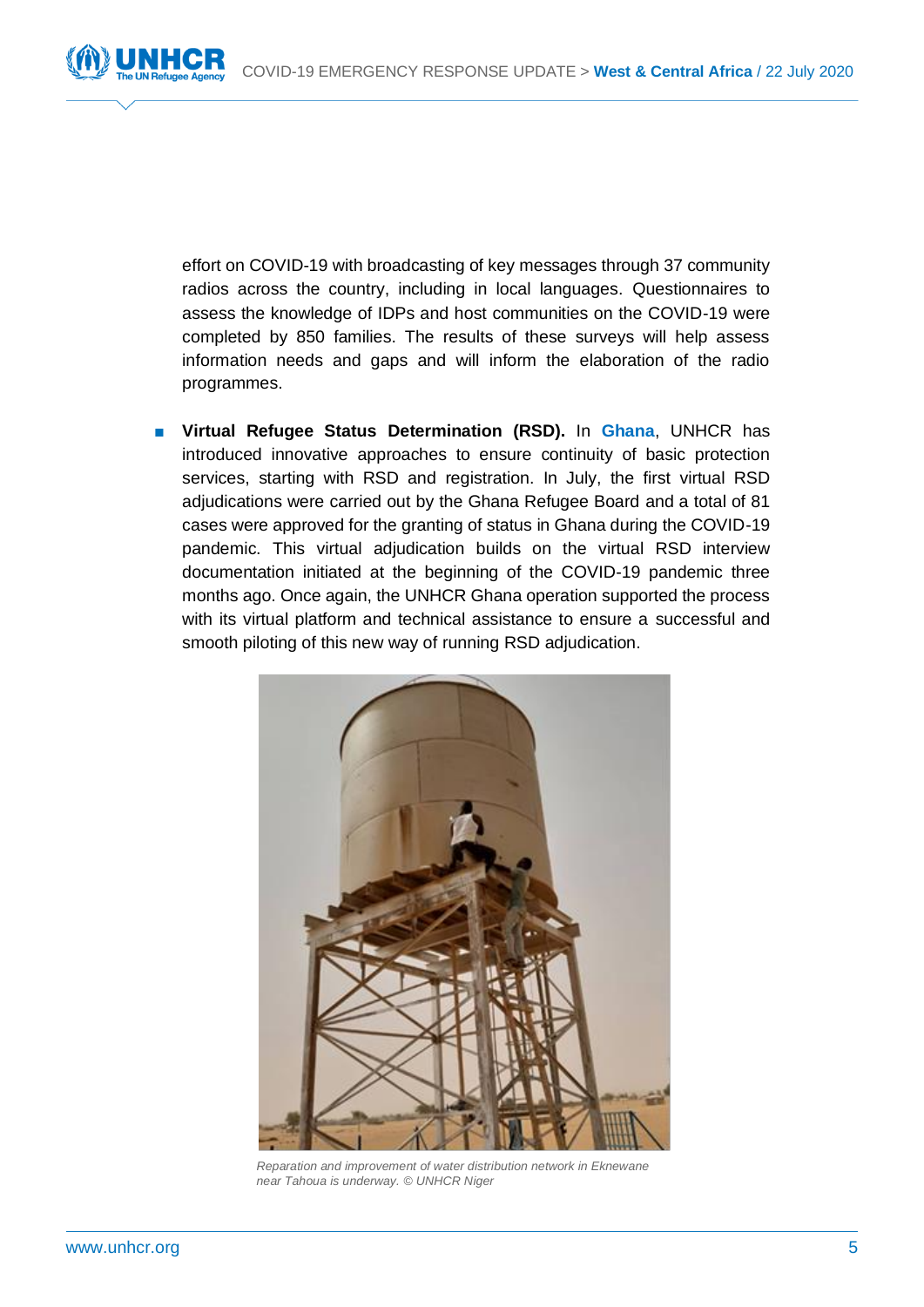

effort on COVID-19 with broadcasting of key messages through 37 community radios across the country, including in local languages. Questionnaires to assess the knowledge of IDPs and host communities on the COVID-19 were completed by 850 families. The results of these surveys will help assess information needs and gaps and will inform the elaboration of the radio programmes.

■ **Virtual Refugee Status Determination (RSD).** In **Ghana**, UNHCR has introduced innovative approaches to ensure continuity of basic protection services, starting with RSD and registration. In July, the first virtual RSD adjudications were carried out by the Ghana Refugee Board and a total of 81 cases were approved for the granting of status in Ghana during the COVID-19 pandemic. This virtual adjudication builds on the virtual RSD interview documentation initiated at the beginning of the COVID-19 pandemic three months ago. Once again, the UNHCR Ghana operation supported the process with its virtual platform and technical assistance to ensure a successful and smooth piloting of this new way of running RSD adjudication.



*Reparation and improvement of water distribution network in Eknewane near Tahoua is underway. © UNHCR Niger*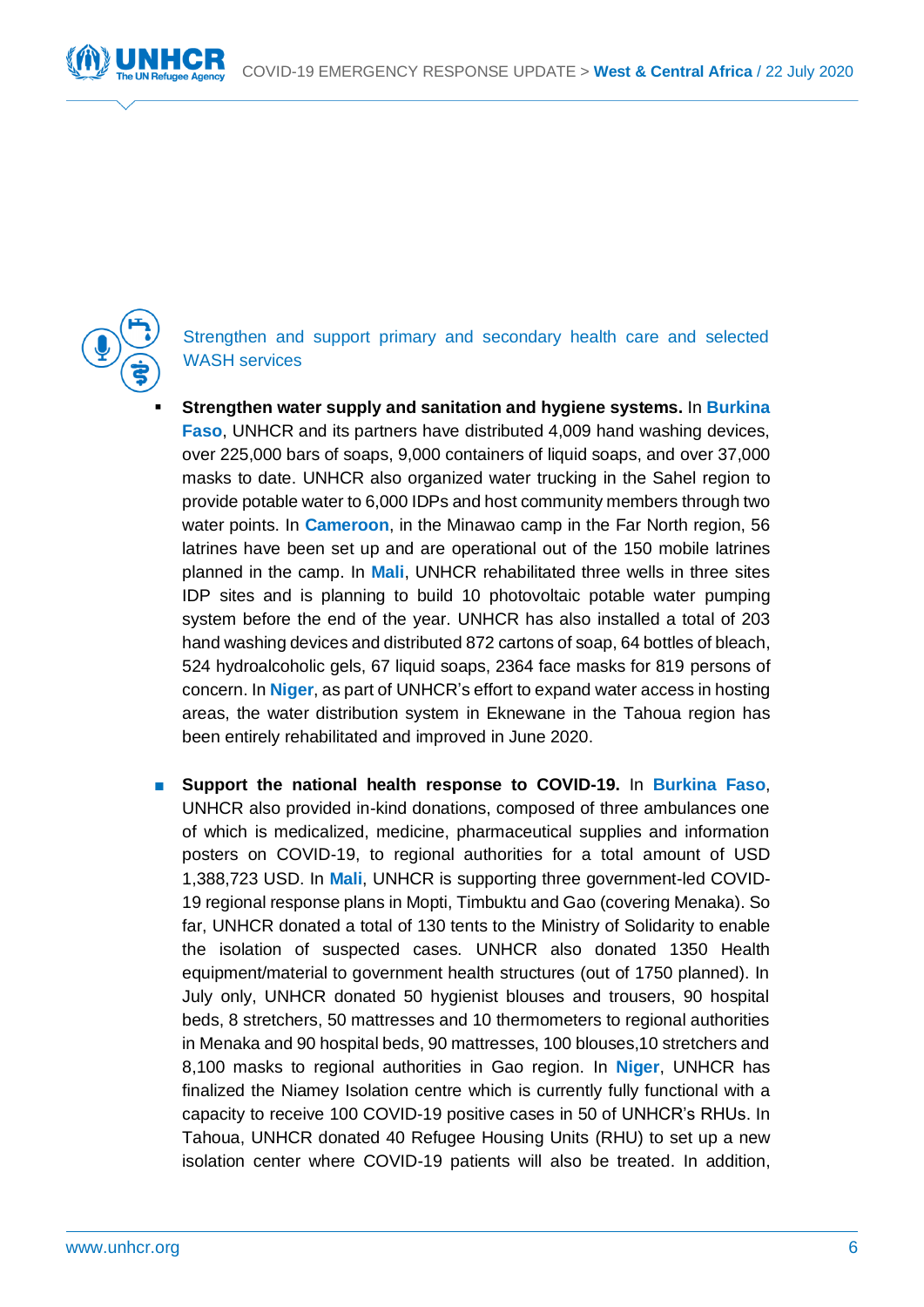

Strengthen and support primary and secondary health care and selected WASH services

- **Strengthen water supply and sanitation and hygiene systems. In Burkina Faso**, UNHCR and its partners have distributed 4,009 hand washing devices, over 225,000 bars of soaps, 9,000 containers of liquid soaps, and over 37,000 masks to date. UNHCR also organized water trucking in the Sahel region to provide potable water to 6,000 IDPs and host community members through two water points. In **Cameroon**, in the Minawao camp in the Far North region, 56 latrines have been set up and are operational out of the 150 mobile latrines planned in the camp. In **Mali**, UNHCR rehabilitated three wells in three sites IDP sites and is planning to build 10 photovoltaic potable water pumping system before the end of the year. UNHCR has also installed a total of 203 hand washing devices and distributed 872 cartons of soap, 64 bottles of bleach, 524 hydroalcoholic gels, 67 liquid soaps, 2364 face masks for 819 persons of concern. In **Niger**, as part of UNHCR's effort to expand water access in hosting areas, the water distribution system in Eknewane in the Tahoua region has been entirely rehabilitated and improved in June 2020.
- **Support the national health response to COVID-19.** In **Burkina Faso**, UNHCR also provided in-kind donations, composed of three ambulances one of which is medicalized, medicine, pharmaceutical supplies and information posters on COVID-19, to regional authorities for a total amount of USD 1,388,723 USD. In **Mali**, UNHCR is supporting three government-led COVID-19 regional response plans in Mopti, Timbuktu and Gao (covering Menaka). So far, UNHCR donated a total of 130 tents to the Ministry of Solidarity to enable the isolation of suspected cases. UNHCR also donated 1350 Health equipment/material to government health structures (out of 1750 planned). In July only, UNHCR donated 50 hygienist blouses and trousers, 90 hospital beds, 8 stretchers, 50 mattresses and 10 thermometers to regional authorities in Menaka and 90 hospital beds, 90 mattresses, 100 blouses,10 stretchers and 8,100 masks to regional authorities in Gao region. In **Niger**, UNHCR has finalized the Niamey Isolation centre which is currently fully functional with a capacity to receive 100 COVID-19 positive cases in 50 of UNHCR's RHUs. In Tahoua, UNHCR donated 40 Refugee Housing Units (RHU) to set up a new isolation center where COVID-19 patients will also be treated. In addition,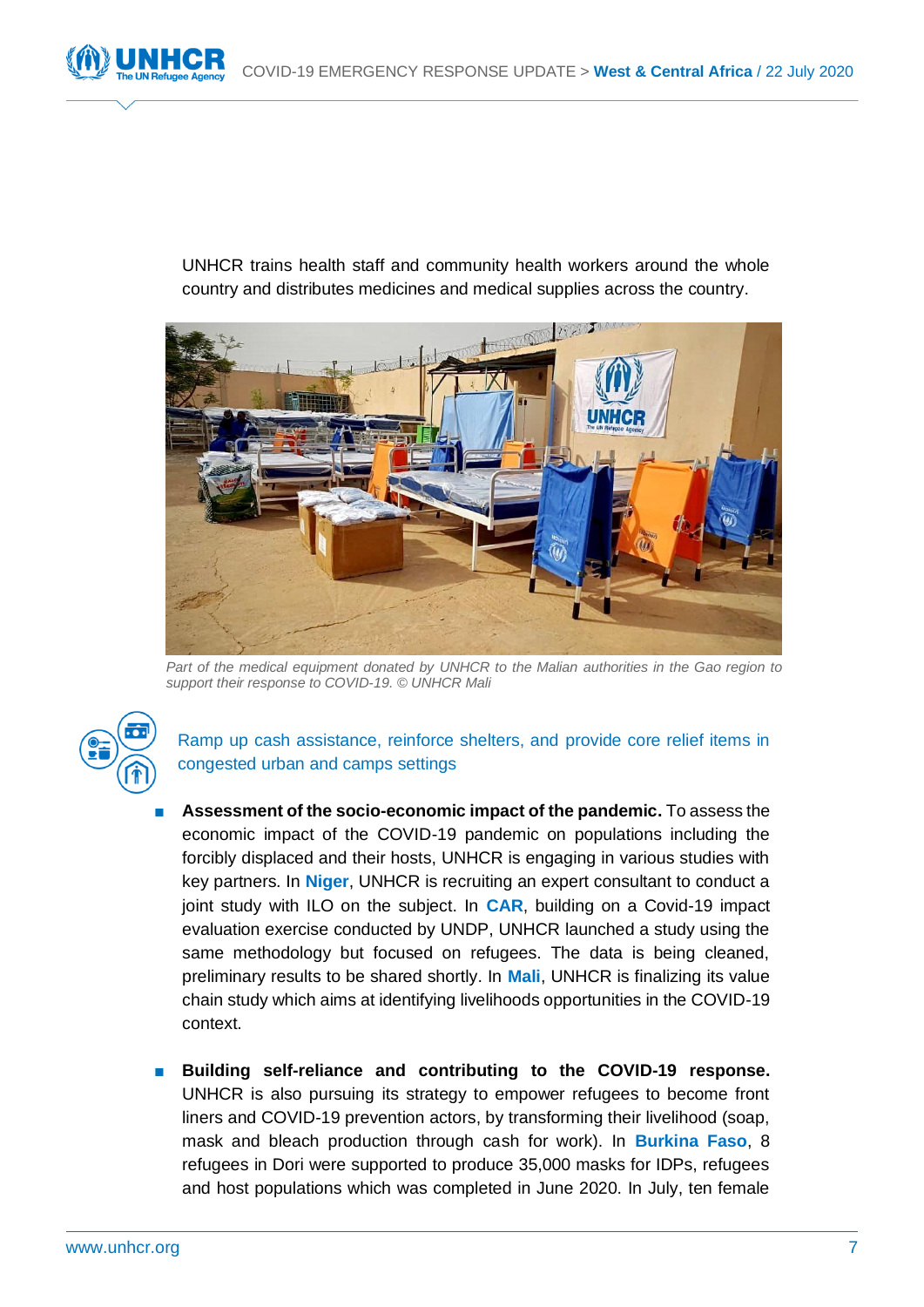

UNHCR trains health staff and community health workers around the whole country and distributes medicines and medical supplies across the country.



*Part of the medical equipment donated by UNHCR to the Malian authorities in the Gao region to support their response to COVID-19. © UNHCR Mali*



Ramp up cash assistance, reinforce shelters, and provide core relief items in congested urban and camps settings

- **Assessment of the socio-economic impact of the pandemic.** To assess the economic impact of the COVID-19 pandemic on populations including the forcibly displaced and their hosts, UNHCR is engaging in various studies with key partners. In **Niger**, UNHCR is recruiting an expert consultant to conduct a joint study with ILO on the subject. In **CAR**, building on a Covid-19 impact evaluation exercise conducted by UNDP, UNHCR launched a study using the same methodology but focused on refugees. The data is being cleaned, preliminary results to be shared shortly. In **Mali**, UNHCR is finalizing its value chain study which aims at identifying livelihoods opportunities in the COVID-19 context.
- Building self-reliance and contributing to the COVID-19 response. UNHCR is also pursuing its strategy to empower refugees to become front liners and COVID-19 prevention actors, by transforming their livelihood (soap, mask and bleach production through cash for work). In **Burkina Faso**, 8 refugees in Dori were supported to produce 35,000 masks for IDPs, refugees and host populations which was completed in June 2020. In July, ten female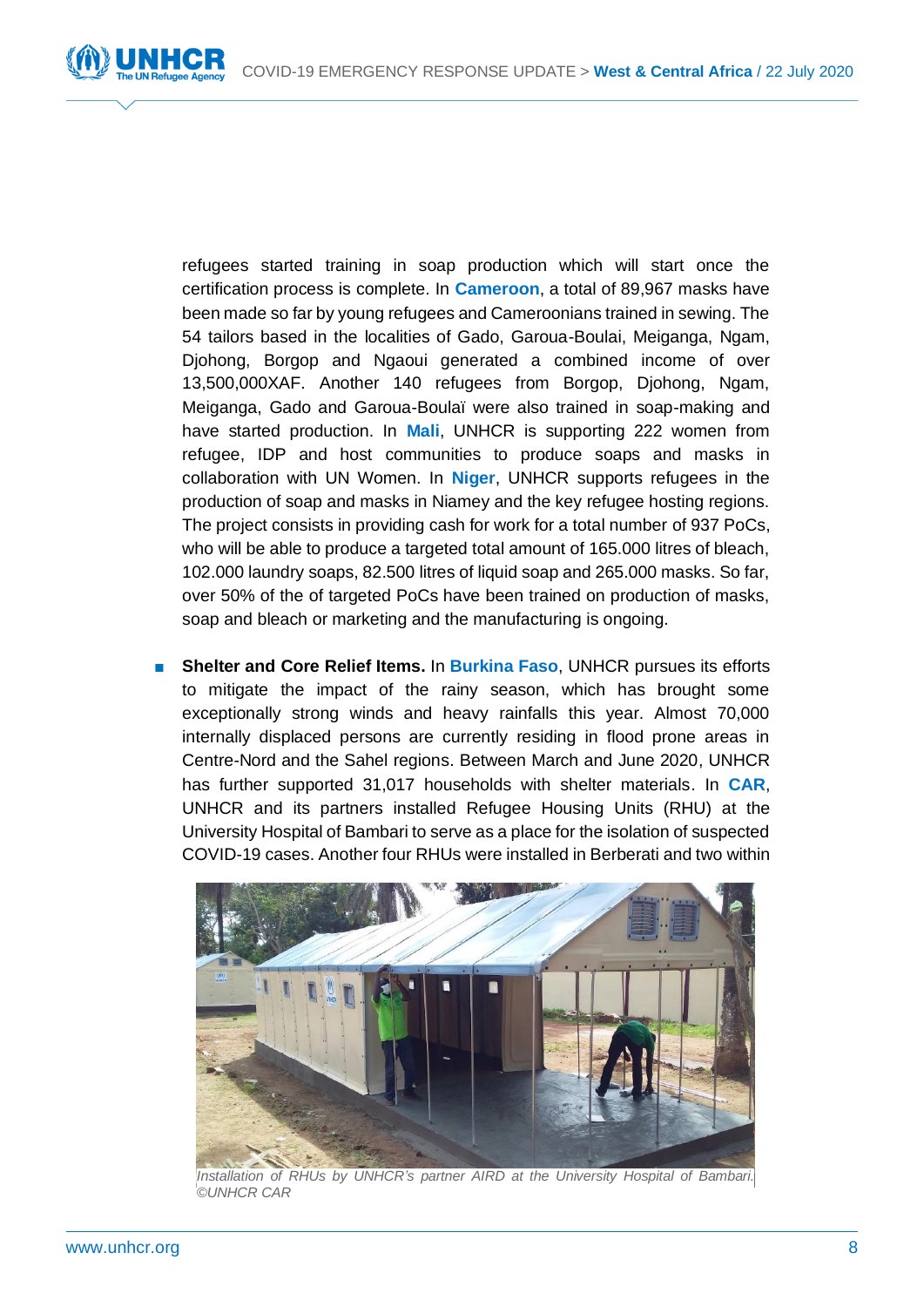refugees started training in soap production which will start once the certification process is complete. In **Cameroon**, a total of 89,967 masks have been made so far by young refugees and Cameroonians trained in sewing. The 54 tailors based in the localities of Gado, Garoua-Boulai, Meiganga, Ngam, Djohong, Borgop and Ngaoui generated a combined income of over 13,500,000XAF. Another 140 refugees from Borgop, Djohong, Ngam, Meiganga, Gado and Garoua-Boulaï were also trained in soap-making and have started production. In **Mali**, UNHCR is supporting 222 women from refugee, IDP and host communities to produce soaps and masks in collaboration with UN Women. In **Niger**, UNHCR supports refugees in the production of soap and masks in Niamey and the key refugee hosting regions. The project consists in providing cash for work for a total number of 937 PoCs, who will be able to produce a targeted total amount of 165.000 litres of bleach, 102.000 laundry soaps, 82.500 litres of liquid soap and 265.000 masks. So far, over 50% of the of targeted PoCs have been trained on production of masks, soap and bleach or marketing and the manufacturing is ongoing.

■ **Shelter and Core Relief Items.** In **Burkina Faso**, UNHCR pursues its efforts to mitigate the impact of the rainy season, which has brought some exceptionally strong winds and heavy rainfalls this year. Almost 70,000 internally displaced persons are currently residing in flood prone areas in Centre-Nord and the Sahel regions. Between March and June 2020, UNHCR has further supported 31,017 households with shelter materials. In **CAR**, UNHCR and its partners installed Refugee Housing Units (RHU) at the University Hospital of Bambari to serve as a place for the isolation of suspected COVID-19 cases. Another four RHUs were installed in Berberati and two within



*Installation of RHUs by UNHCR's partner AIRD at the University Hospital of Bambari. ©UNHCR CAR*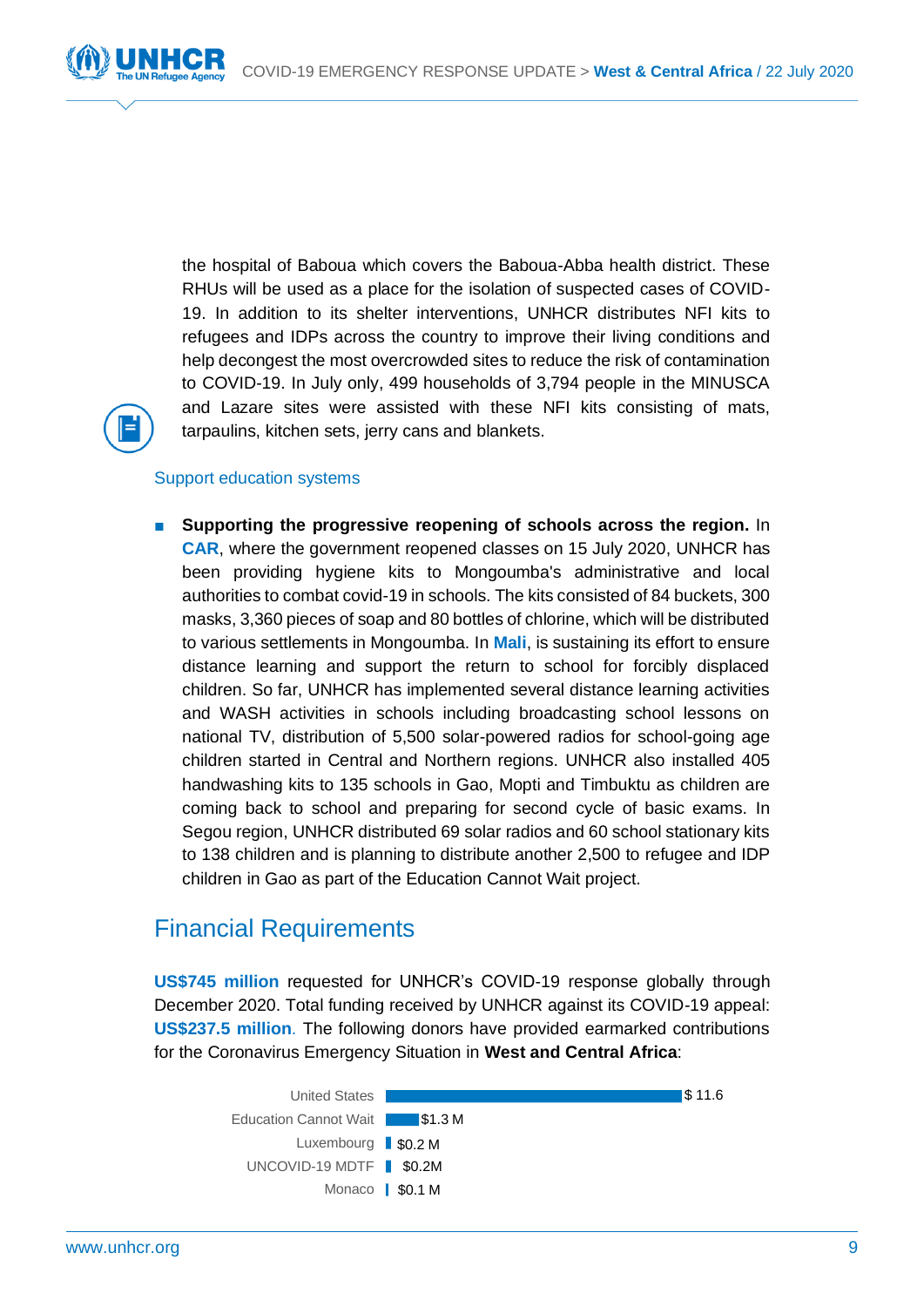

the hospital of Baboua which covers the Baboua-Abba health district. These RHUs will be used as a place for the isolation of suspected cases of COVID-19. In addition to its shelter interventions, UNHCR distributes NFI kits to refugees and IDPs across the country to improve their living conditions and help decongest the most overcrowded sites to reduce the risk of contamination to COVID-19. In July only, 499 households of 3,794 people in the MINUSCA and Lazare sites were assisted with these NFI kits consisting of mats, tarpaulins, kitchen sets, jerry cans and blankets.



# Support education systems

■ **Supporting the progressive reopening of schools across the region.** In **CAR**, where the government reopened classes on 15 July 2020, UNHCR has been providing hygiene kits to Mongoumba's administrative and local authorities to combat covid-19 in schools. The kits consisted of 84 buckets, 300 masks, 3,360 pieces of soap and 80 bottles of chlorine, which will be distributed to various settlements in Mongoumba. In **Mali**, is sustaining its effort to ensure distance learning and support the return to school for forcibly displaced children. So far, UNHCR has implemented several distance learning activities and WASH activities in schools including broadcasting school lessons on national TV, distribution of 5,500 solar-powered radios for school-going age children started in Central and Northern regions. UNHCR also installed 405 handwashing kits to 135 schools in Gao, Mopti and Timbuktu as children are coming back to school and preparing for second cycle of basic exams. In Segou region, UNHCR distributed 69 solar radios and 60 school stationary kits to 138 children and is planning to distribute another 2,500 to refugee and IDP children in Gao as part of the Education Cannot Wait project.

# Financial Requirements

**US\$745 million** requested for UNHCR's COVID-19 response globally through December 2020. Total funding received by UNHCR against its COVID-19 appeal: **US\$237.5 million**. The following donors have provided earmarked contributions for the Coronavirus Emergency Situation in **West and Central Africa**: